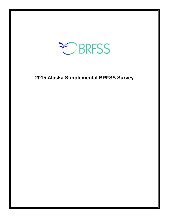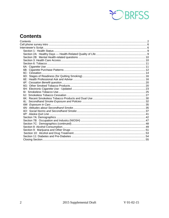

# <span id="page-1-0"></span>**Contents**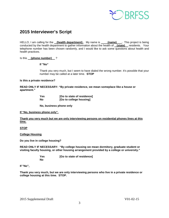

## **2015 Interviewer's Script**

HELLO, I am calling for the **(health department)**. My name is **(name)** . This project is being conducted by the health department to gather information about the health of **(state)** residents. Your telephone number has been chosen randomly, and I would like to ask some questions about health and health practices.

#### Is this **(phone number)** ?

#### **If "No"**

Thank you very much, but I seem to have dialed the wrong number. It's possible that your number may be called at a later time. **STOP**

#### **Is this a private residence?**

**READ ONLY IF NECESSARY: "By private residence, we mean someplace like a house or apartment."**

| Yes | [Go to state of residence] |
|-----|----------------------------|
| No  | [Go to college housing]    |

**No, business phone only**

**If "No, business phone only".**

**Thank you very much but we are only interviewing persons on residential phones lines at this time.**

#### **STOP**

**College Housing**

**Do you live in college housing?** 

**READ ONLY IF NECESSARY: "By college housing we mean dormitory, graduate student or visiting faculty housing, or other housing arrangement provided by a college or university."**

> **Yes [Go to state of residence] No**

#### **If "No",**

**Thank you very much, but we are only interviewing persons who live in a private residence or college housing at this time. STOP.**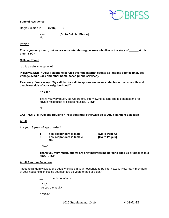

**State of Residence**

**Do you reside in \_\_\_\_(state)\_\_\_\_?** 

**No**

**Yes [Go to Cellular Phone]**

#### **If "No"**

Thank you very much, but we are only interviewing persons who live in the state of at this **time**. **STOP**

#### **Cellular Phone**

Is this a cellular telephone?

**INTERVIEWER NOTE: Telephone service over the internet counts as landline service (includes Vonage, Magic Jack and other home-based phone services).**

**Read only if necessary: "By cellular (or cell) telephone we mean a telephone that is mobile and usable outside of your neighborhood."** 

#### **If "Yes"**

Thank you very much, but we are only interviewing by land line telephones and for private residences or college housing. **STOP**

**No**

#### **CATI NOTE: IF (College Housing = Yes) continue; otherwise go to Adult Random Selection**

#### **Adult**

Are you 18 years of age or older?

|   | Yes, respondent is male   | [Go to Page 6] |
|---|---------------------------|----------------|
|   | Yes, respondent is female | [Go to Page 6] |
| 3 | No.                       |                |

**If "No",**

**Thank you very much, but we are only interviewing persons aged 18 or older at this time. STOP** 

#### **Adult Random Selection**

I need to randomly select one adult who lives in your household to be interviewed. How many members of your household, including yourself, are 18 years of age or older?

\_\_ Number of adults

**If "1,"**  Are you the adult?

**If "yes,"** 

4 2015 Supplemental Draft V 01-02-15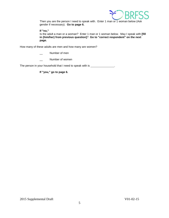

Then you are the person I need to speak with. Enter 1 man or 1 woman below (Ask gender if necessary). **Go to page 6.**

**If "no,"**  Is the adult a man or a woman? Enter 1 man or 1 woman below. May I speak with **[fill in (him/her) from previous question]**? **Go to "correct respondent" on the next page.**

How many of these adults are men and how many are women?

- Number of men
- Number of women

The person in your household that I need to speak with is \_\_\_\_\_\_\_\_\_\_\_\_\_\_.

**If "you," go to page 6.**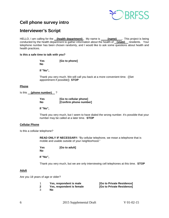

## <span id="page-5-0"></span>**Cell phone survey intro**

## <span id="page-5-1"></span>**Interviewer's Script**

HELLO, I am calling for the **(health department)**. My name is **(name)** . This project is being conducted by the health department to gather information about the health of **(state)** residents. Your telephone number has been chosen randomly, and I would like to ask some questions about health and health practices.

#### **Is this a safe time to talk with you?**

| Yes | [Go to phone] |
|-----|---------------|
| No  |               |

**If "No",** 

Thank you very much. We will call you back at a more convenient time. ([Set appointment if possible]) **STOP** 

#### **Phone**

Is this **(phone number)** ?

| <b>Yes</b> | [Go to cellular phone] |
|------------|------------------------|
| <b>No</b>  | [Confirm phone number] |

**If "No",**

Thank you very much, but I seem to have dialed the wrong number. It's possible that your number may be called at a later time. **STOP** 

#### **Cellular Phone**

Is this a cellular telephone?

**READ ONLY IF NECESSARY:** "By cellular telephone, we mean a telephone that is mobile and usable outside of your neighborhood."

**Yes [Go to adult] No**

**If "No",**

Thank you very much, but we are only interviewing cell telephones at this time. **STOP** 

#### **Adult**

Are you 18 years of age or older?

|              | Yes, respondent is male   | [Go to Private Residence] |
|--------------|---------------------------|---------------------------|
| $\mathbf{2}$ | Yes, respondent is female | [Go to Private Residence] |

3 **No**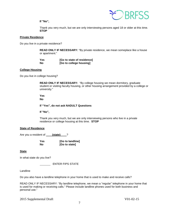**If "No",**



Thank you very much, but we are only interviewing persons aged 18 or older at this time. **STOP** 

#### **Private Residence**

Do you live in a private residence?

**READ ONLY IF NECESSARY:** "By private residence, we mean someplace like a house or apartment."

| Yes | [Go to state of residence] |
|-----|----------------------------|
| No  | [Go to college housing]    |

#### **College Housing**

Do you live in college housing?

**READ ONLY IF NECESSARY:** "By college housing we mean dormitory, graduate student or visiting faculty housing, or other housing arrangement provided by a college or university."

**Yes**

**No**

**If "Yes", do not ask NADULT Questions**

**If "No",**

Thank you very much, but we are only interviewing persons who live in a private residence or college housing at this time. **STOP** 

#### **State of Residence**

Are you a resident of **\_\_\_\_\_(state)** \_\_\_?

**Yes [Go to landline] No [Go to state]**

**State**

In what state do you live?

ENTER FIPS STATE

Landline

Do you also have a landline telephone in your home that is used to make and receive calls?

READ ONLY IF NECESSARY: "By landline telephone, we mean a "regular" telephone in your home that is used for making or receiving calls." Please include landline phones used for both business and personal use."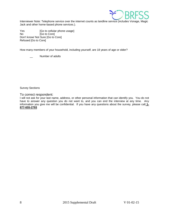

Interviewer Note: Telephone service over the internet counts as landline service (includes Vonage, Magic Jack and other home-based phone services.).

Yes [Go to cellular phone usage] No [Go to Core] Don't know/ Not Sure [Go to Core] Refused [Go to Core]

How many members of your household, including yourself, are 18 years of age or older?

Number of adults

Survey Sections

#### To correct respondent:

I will not ask for your last name, address, or other personal information that can identify you. You do not have to answer any question you do not want to, and you can end the interview at any time. Any information you give me will be confidential. If you have any questions about the survey, please call **1- 877-655-2793**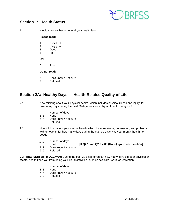

## <span id="page-8-0"></span>**Section 1: Health Status**

**1.1** Would you say that in general your health is—

#### **Please read:**

- 1 Excellent<br>2 Verv good
- Very good
- 3 Good
- 4 Fair
- **Or:**
- 5 Poor

### **Do not read:**

- 7 Don't know / Not sure
- 9 Refused

## <span id="page-8-1"></span>**Section 2A: Healthy Days — Health-Related Quality of Life**

- **2.1** Now thinking about your physical health, which includes physical illness and injury, for how many days during the past 30 days was your physical health not good?
	- $\frac{1}{8}$   $\frac{1}{8}$  Number of days
	- 8 8 None<br>7 7 Don't
	- Don't know / Not sure
	- 9 9 Refused
- **2.2** Now thinking about your mental health, which includes stress, depression, and problems with emotions, for how many days during the past 30 days was your mental health not good?
	- $\frac{1}{8}$   $\frac{1}{8}$  Number of days
		- 8 8 None **[If Q2.1 and Q2.2 = 88 (None), go to next section]**
	- 7 7 Don't know / Not sure<br>9 9 Refused
	- **Refused**

**2.3 [REVISED; ask if Q2.1<=30]** During the past 30 days, for about how many days did poor physical or mental health keep you from doing your usual activities, such as self-care, work, or recreation?

- $\frac{1}{8}$   $\frac{1}{8}$  Number of days
- 8 8 None<br>7 7 Don't
- Don't know / Not sure
- 9 9 Refused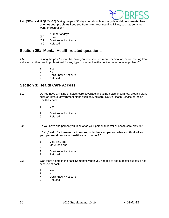

- **2.4 [NEW; ask if Q2.2<=30]** During the past 30 days, for about how many days did **poor mental health or emotional problems** keep you from doing your usual activities, such as self-care, work, or recreation?
	- Number of days
	- 88 None<br>77 Don't
	- Don't know / Not sure
	- 9 9 Refused

## <span id="page-9-0"></span>**Section 2B: Mental Health-related questions**

**2.5** During the past 12 months, have you received treatment, medication, or counseling from a doctor or other health professional for any type of mental health condition or emotional problem?

- 1 Yes<br>2 No
- $N<sub>0</sub>$
- 7 Don't know / Not sure<br>9 Refused
- **Refused**

## <span id="page-9-1"></span>**Section 3: Health Care Access**

- **3.1** Do you have any kind of health care coverage, including health insurance, prepaid plans such as HMOs, government plans such as Medicare, Native Health Service or Indian Health Service?
	- 1 Yes<br>2 No
	- 2 No
	- 7 Don't know / Not sure<br>9 Refused
	- **Refused**
- **3.2** Do you have one person you think of as your personal doctor or health care provider?

#### **If "No," ask: "Is there more than one, or is there no person who you think of as your personal doctor or health care provider?"**

- 1 Yes, only one
- 2 More than one<br>3 No
- N<sub>o</sub>
- 7 Don't know / Not sure<br>9 Refused
- **Refused**
- **3.3** Was there a time in the past 12 months when you needed to see a doctor but could not because of cost?
	- 1 Yes<br>2 No
	- N<sub>o</sub>
	- 7 Don't know / Not sure
	- 9 Refused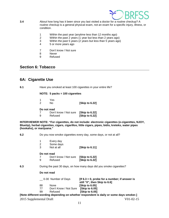

- **3.4** About how long has it been since you last visited a doctor for a routine checkup? A routine checkup is a general physical exam, not an exam for a specific injury, illness, or condition.
	- 1 Within the past year (anytime less than 12 months ago)<br>2 Within the past 2 years (1 year but less than 2 years ago
	- 2 Within the past 2 years (1 year but less than 2 years ago)
	- 3 Within the past 5 years (2 years but less than 5 years ago)<br>4 5 or more years ago
	- 5 or more years ago
	- 7 Don't know / Not sure<br>8 Never
	- **Never**
	- 9 Refused

## <span id="page-10-0"></span>**Section 6: Tobacco**

### <span id="page-10-1"></span>**6A: Cigarette Use**

**6.1** Have you smoked at least 100 cigarettes in your entire life?

#### **NOTE: 5 packs = 100 cigarettes**

| -1<br>2     | Yes<br>N٥             | [Skip to 6.22] |
|-------------|-----------------------|----------------|
| Do not read |                       |                |
| 7           | Don't know / Not sure | [Skip to 6.22] |
| 9           | Refused               | [Skip to 6.22] |

**INTERVIEWER NOTE: "For cigarettes, do not include: electronic cigarettes (e-cigarettes, NJOY, Bluetip), herbal cigarettes, cigars, cigarillos, little cigars, pipes, bidis, kreteks, water pipes (hookahs), or marijuana."**

**6.2** Do you now smoke cigarettes every day, some days, or not at all?

|                                                                            | 1<br>2<br>3           | Every day<br>Some days<br>Not at all | [Skip to 6.11]                                                                         |
|----------------------------------------------------------------------------|-----------------------|--------------------------------------|----------------------------------------------------------------------------------------|
|                                                                            | Do not read<br>7<br>9 | Don't know / Not sure<br>Refused     | [Skip to 6.22]<br>[Skip to 6.22]                                                       |
| 6.3<br>During the past 30 days, on how many days did you smoke cigarettes? |                       |                                      |                                                                                        |
|                                                                            | Do not read           |                                      |                                                                                        |
|                                                                            |                       | 0-30 Number of Days                  | [If $6.3 = 0$ , probe for a number; if answer is<br>still "0", then Skip to 6.6]       |
|                                                                            | 88                    | <b>None</b>                          | [Skip to 6.05]                                                                         |
|                                                                            | 77                    | Don't Know / Not Sure                | <b>Skip to 6.051</b>                                                                   |
|                                                                            | 99                    | Refused                              | [Skip to 6.05]                                                                         |
|                                                                            |                       |                                      | [Note different wording depending on whether respondent is daily or some days smoker.] |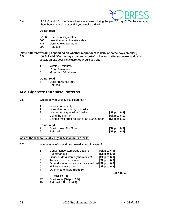

**6.4** [if 6.2=2 add: "On the days when you smoked during the past 30 days" ] On the average, about how many cigarettes did you smoke a day?

#### **Do not read**

- 0-180 Number of Cigarettes
- 666 Less than one cigarette a day
- 777 Don't Know / Not Sure
- 999 Refused

#### **[Note different wording depending on whether respondent is daily or some days smoker.]**

**6.5 if 6.2=2 add:"On the days that you smoke",** How soon after you wake up do you usually smoke your first cigarette? Would you say

- 1 Within 30 minutes
- 2 31 to 60 minutes
- 3 More than 60 minutes

#### **Do not read**

- 7 Don't know/ Not sure<br>9 Refused
- **Refused**

## <span id="page-11-0"></span>**6B: Cigarette Purchase Patterns**

| 6.6 | Where do you usually buy cigarettes? |
|-----|--------------------------------------|
|     |                                      |

- 1 In your community<br>2 In another commun
- In another community in Alaska
- 3 In a community outside Alaska **[Skip to 6.8]**
- 
- 4 Using the Internet **[Skip to 6.10]** Using a mail-order source or an 800 number
- **Do not read**

|  | Don't Know / Not Sure | [Skip to 6.9] |
|--|-----------------------|---------------|
|--|-----------------------|---------------|

9 Refused **[Skip to 6.9]**

#### **Ask of those who usually buy in Alaska (6.6 = 1 or 2)**

- **6.7** In what type of store do you usually buy cigarettes?
	- 1 Convenience stores/gas stations **[Skip to 6.9]** 2 Supermarkets **[Skip to 6.9]** 3 Liquor or drug stores (pharmacies) **[Skip to 6.9]** 4 Tobacco discount stores<br>5 Other discount stores, su 5 Other discount stores, such as Wal-Mart **[Skip to 6.9]**
	- 6 Military commissaries **[Skip to 6.9]**
	- 7 Other type of store **(specify)**
- **\_\_\_\_\_\_\_\_\_\_\_\_\_\_\_\_\_\_\_\_\_\_\_\_\_\_\_\_\_\_\_\_\_\_\_\_\_\_\_\_\_[Skip to 6.9]**
- [STORCIGT20]
- 77 Don't know **[Skip to 6.9]**
- 99 Refused **[Skip to 6.9]**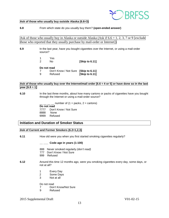

#### **Ask of those who usually buy outside Alaska (6.6=3)**

**6.8** From which state do you usually buy them? **(open-ended answer)**

Ask of those who usually buy in Alaska or outside Alaska (Ask if  $6.6 = 1, 2, 3, 7$  or 9 [exclude] those who reported that they usually purchase by mail-order or Internet])

\_\_\_\_\_\_\_\_\_\_\_\_\_\_\_\_\_\_\_\_\_\_\_\_\_\_\_\_\_\_\_\_\_\_\_\_\_\_\_\_\_\_\_\_\_\_\_\_\_\_\_\_\_\_\_\_\_\_\_\_\_\_\_\_\_\_\_\_\_\_\_

- **6.9** In the last year, have you bought cigarettes over the Internet, or using a mail-order source?
	- 1 Yes<br>2 No **[Skip to 6.11]**

**Do not read**

7 Don't Know / Not Sure **[Skip to 6.11]**  9 Refused **[Skip to 6.11]** 

#### Ask of those who usually buy over the Internet/mail order  $[6.6 = 4$  or 5] or have done so in the last **year [6.9 = 1]**

**6.10** In the last three months, about how many cartons or packs of cigarettes have you bought through the Internet or using a mail-order source?

> number of  $(1 = packs, 2 = cartons)$ **Do not read** 7777 Don't Know / Not Sure 8888 None 9999 Refused

#### **Initiation and Duration of Smoker Status**

#### **Ask of Current and Former Smokers (6.2=1,2,3)**

**6.11** How old were you when you first started smoking cigarettes regularly?

**\_\_ \_\_\_ Code age in years (1-100)**

- 888 Never smoked regularly *(don't read)*
- 777 Don't Know / Not Sure
- 999 Refused
- **6.12** Around this time 12 months ago, were you smoking cigarettes every day, some days, or not at all?
	- 1 Every Day<br>2 Some Davs
	- Some Days
	- 3 Not at all

Do not read

- 7 Don't Know/Not Sure
- 9 Refused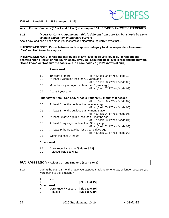

#### **If 06.02 = 3 and 06.11 = 888 then go to 6.22**

#### **Ask of Former Smokers (6.1 = 1 and 6.2 = 3) else skip to 6.14: REVISED ANSWER CATEGORIES**

#### **6.13** *(NOTE for CATI Programming): this is different from Core 8.4, but should be same as state-added item in Standard survey)*

About how long has it been since you last smoked cigarettes regularly? Was that...

**INTERVIEWER NOTE: Pause between each response category to allow respondent to answer "Yes" or "No" to each category.**

**INTERVIEWER NOTE: If respondent refuses at any level, code 99 (Refused). If respondent answers "Don't know" or "Not sure" at any level, ask about the next level. If respondent answers "Don't know" or "Not sure" to two levels in a row, code 77 (Don't know/Not sure).**

#### **Please read:**

| 10<br>09 | 10 years or more<br>At least 5 years but less than 10 years ago     | (If "No," ask 09; if "Yes," code 10)                                         |
|----------|---------------------------------------------------------------------|------------------------------------------------------------------------------|
| 08       | More than a year ago (but less than 5 years ago)                    | (If "No," ask 08; if "Yes," code 09)<br>(If "No," ask 07; if "Yes," code 08) |
| 07       | About 1 year ago                                                    |                                                                              |
|          | [Interviewer note: Can add, "That is, roughly 12 months" if needed] |                                                                              |
| 06       | At least 6 months but less than one year ago                        | (If "No," ask 06; if "Yes," code 07)                                         |
| 05       | At least 3 months but less than 6 months ago                        | (If "No," ask 05; if "Yes," code 06)                                         |
| 04       | At least 30 days ago but less than 3 months ago                     | (If "No," ask 04; if "Yes," code 05)                                         |
| 03       | At least 7 days ago but less than 30 days ago                       | (If "No," ask 03; if "Yes," code 04)                                         |
|          |                                                                     | (If "No," ask 02; if "Yes," code 03)                                         |
| 02       | At least 24 hours ago but less than 7 days ago                      | (If "No," ask 01; if "Yes," code 02)                                         |
| 01       | Within the past 24 hours                                            |                                                                              |

#### **Do not read:**

- 7 7 Don't know / Not sure **[Skip to 6.22]**
- 9 9 Refused **[Skip to 6.22]**

### <span id="page-13-0"></span>**6C: Cessation - Ask of Current Smokers (6.2 = 1 or 2)**

**6.14** During the past 12 months have you stopped smoking for one day or longer because you were trying to quit smoking?

| -1            | Yes                   |                |
|---------------|-----------------------|----------------|
| $\mathcal{P}$ | N٥                    | [Skip to 6.19] |
| Do not read   |                       |                |
| 7             | Don't know / Not sure | [Skip to 6.19] |
| 9             | Refused               | [Skip to 6.19] |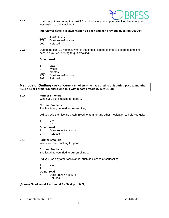

**6.15** How many times during the past 12 months have you stopped smoking because you were trying to quit smoking?

#### **Interviewer note: If R says "none" go back and ask previous question C06Q14.**

- $\frac{1}{777}$  1 -400 times
- Don't know/Not sure
- 999 Refused
- **6.16** During the past 12 months, what is the longest length of time you stopped smoking because you were trying to quit smoking?

#### **Do not read**

- $1_{-}$  days
- 2\_ \_ weeks
- 3\_ \_ months
- 777 Don't know/Not sure
- 999 Refused

#### **Methods of Quitting - Ask of Current Smokers who have tried to quit during past 12 months (6.14 = 1) or Former Smokers who quit within past 5 years (6.13 = 01-08)**

#### **6.17 Former Smokers:**

When you quit smoking for good...

#### **Current Smokers:**

The last time you tried to quit smoking…

Did you use the nicotine patch, nicotine gum, or any other medication to help you quit?

- 1 Yes
- No
- **Do not read**
- 7 Don't know / Not sure
- 9 Refused

#### **6.18 Former Smokers:**

When you quit smoking for good…

#### **Current Smokers:**

The last time you tried to quit smoking…

Did you use any other assistance, such as classes or counseling?

- 1 Yes
- 2 No

#### **Do not read**

- 7 Don't know / Not sure
- 9 Refused

#### **[Former Smokers (6.1 = 1 and 6.2 = 3) skip to 6.22]**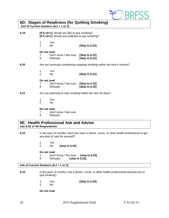

## <span id="page-15-0"></span>**6D: Stages of Readiness (for Quitting Smoking)**

**Ask of Current Smokers (6.2 = 1 or 2)**

| 6.19 | [If 6.14>1] Would you like to quit smoking?<br>[If 6.14=1] Would you [still] like to quit smoking? |                                  |                                                                          |
|------|----------------------------------------------------------------------------------------------------|----------------------------------|--------------------------------------------------------------------------|
|      | 1<br>$\overline{2}$                                                                                | Yes<br>No.                       | [Skip to 6.22]                                                           |
|      | Do not read<br>7<br>9                                                                              | Don't know / Not sure<br>Refused | [Skip to 6.22]<br>[Skip to 6.22]                                         |
| 6.20 |                                                                                                    |                                  | Are you seriously considering stopping smoking within the next 6 months? |
|      | 1<br>$\overline{2}$                                                                                | Yes<br>No.                       | [Skip to 6.22]                                                           |
|      | Do not read<br>$\overline{7}$<br>9                                                                 | Don't know / Not sure<br>Refused | [Skip to 6.22]<br>[Skip to 6.22]                                         |
| 6.21 |                                                                                                    |                                  | Are you planning to stop smoking within the next 30 days?                |
|      | 1<br>$\overline{2}$                                                                                | Yes<br>No.                       |                                                                          |
|      | Do not read                                                                                        | $D = 1111$ N $-1$                |                                                                          |

- 7 Don't know / Not sure<br>9 Refused
- **Refused**

### <span id="page-15-1"></span>**6E: Health Professional Ask and Advise Ask 6.22 of All Respondents**

- **6.22** In the past 12 months, have you seen a doctor, nurse, or other health professional to get any kind of care for yourself?
	- 1 Yes<br>2 No
	- 2 No **[skip to 6.25]**

# **Do not read**<br>7 Don'

- 7 Don't know / Not sure **[skip to 6.25]**
	- 9 Refused **[skip to 6.25]**

#### **Ask of Current Smokers (6.2 = 1 or 2)**

- **6.23** In the past 12 months, has a doctor, nurse, or other health professional advised you to quit smoking?
	- 1 Yes **[Skip to 6.29]** No.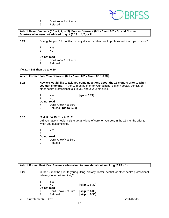

- 7 Don't know / Not sure<br>9 Refused
- **Refused**

**Ask of Never Smokers (6.1 = 2, 7, or 9), Former Smokers (6.1 = 1 and 6.2 = 3), and Current Smokers who were not advised to quit (6.23 = 2, 7, or 9)**

**6.24** During the past 12 months, did any doctor or other health professional ask if you smoke?

- 1 Yes<br>2 No
- No.

#### **Do not read**

- 7 Don't know / Not sure
- 9 Refused

#### **If 6.11 = 888 then go to 6.30**

#### **Ask of Former Past Year Smokers (6.1 = 1 and 6.2 = 3 and 6.13 < 08)**

**6.25 Now we would like to ask you some questions about the 12 months prior to when you quit smoking.** In the 12 months prior to your quitting, did any doctor, dentist, or other health professional talk to you about your smoking?

| 1             | Yes                  | [go to $6.27$ ] |
|---------------|----------------------|-----------------|
| $\mathcal{P}$ | N٥                   |                 |
| Do not read   |                      |                 |
|               | Don't Know/Not Sure  |                 |
| 9             | Refused [go to 6.30] |                 |
|               |                      |                 |

#### **6.26 [Ask if If 6.25=2 or 6.25=7]**

Did you have a health visit to get any kind of care for yourself, in the 12 months prior to when you quit smoking?

- 1 Yes<br>2 No
- $No$

#### **Do not read**

- 7 Don't Know/Not Sure<br>9 Refused
- **Refused**

| Ask of Former Past Year Smokers who talked to provider about smoking $(6.25 = 1)$ |  |
|-----------------------------------------------------------------------------------|--|
|-----------------------------------------------------------------------------------|--|

**6.27** In the 12 months prior to your quitting, did any doctor, dentist, or other health professional advise you to quit smoking?

| 1           | Yes                 |                      |
|-------------|---------------------|----------------------|
| 2           | No.                 | [skip to 6.30]       |
| Do not read |                     |                      |
| 7           | Don't Know/Not Sure | <b>Solution</b> 6.30 |
| 9           | Refused             | [skip to 6.30]       |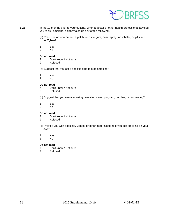

- **6.28** In the 12 months prior to your quitting, when a doctor or other health professional advised you to quit smoking, did they also do any of the following?
	- (a) Prescribe or recommend a patch, nicotine gum, nasal spray, an inhaler, or pills such as Zyban?
	- 1 Yes
	- N<sub>o</sub>

# **Do not read**<br> **Poon**

- Don't know / Not sure
- 9 Refused
- (b) Suggest that you set a specific date to stop smoking?
- 1 Yes<br>2 No
- N<sub>o</sub>

#### **Do not read**

- 7 Don't know / Not sure<br>9 Refused
- **Refused**
- (c) Suggest that you use a smoking cessation class, program, quit line, or counseling?
- 1 Yes<br>2 No
- N<sub>o</sub>

# **Do not read**<br>7 Don'

- 7 Don't know / Not sure<br>9 Refused
- **Refused**
- (d) Provide you with booklets, videos, or other materials to help you quit smoking on your own?
- 1 Yes<br>2 No
- No.

- 7 Don't know / Not sure<br>9 Refused
- **Refused**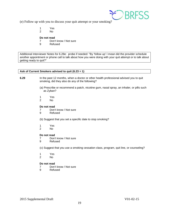

(e) Follow up with you to discuss your quit attempt or your smoking?

- 1 Yes
- $No$

#### **Do not read**

- 7 Don't know / Not sure<br>9 Refused
- **Refused**

Additional Interviewer Notes for 6.28e: probe if needed: "By 'follow up' I mean did the provider schedule another appointment or phone call to talk about how you were doing with your quit attempt or to talk about getting ready to quit?"

#### **Ask of Current Smokers advised to quit (6.23 = 1)**

- **6.29** In the past 12 months, when a doctor or other health professional advised you to quit smoking, did they also do any of the following?
	- (a) Prescribe or recommend a patch, nicotine gum, nasal spray, an inhaler, or pills such as Zyban?
	- 1 Yes<br>2 No
	- N<sub>o</sub>

#### **Do not read**

- 7 Don't know / Not sure
- 9 Refused

(b) Suggest that you set a specific date to stop smoking?

- 1 Yes<br>2 No
- No.

#### **Do not read**

- 7 Don't know / Not sure
- 9 Refused

(c) Suggest that you use a smoking cessation class, program, quit line, or counseling?

- 1 Yes<br>2 No
- No.

# **Do not read**<br>7 Don'

- 7 Don't know / Not sure<br>9 Refused
- **Refused**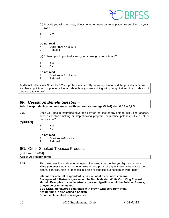

- (d) Provide you with booklets, videos, or other materials to help you quit smoking on your own?
- 1 Yes
- 2 No

- 7 Don't know / Not sure<br>9 Refused
- **Refused**

(e) Follow up with you to discuss your smoking or quit attempt?

- 1 Yes
- 2 No

#### **Do not read**

- 7 Don't know / Not sure<br>9 Refused
- **Refused**

Additional Interviewer Notes for 6.29e: probe if needed:"By 'follow up' I mean did the provider schedule another appointment or phone call to talk about how you were doing with your quit attempt or to talk about getting ready to quit?"

### <span id="page-19-0"></span>*6F: Cessation Benefit question* **–**

**Ask of respondents who have some health insurance coverage (3.1=1) skip if 3.1 = 2,7,9**

**6.30** Does your health insurance coverage pay for the cost of any help to quit using tobacco, such as a stop-smoking or stop-chewing program, or nicotine patches, pills, or other medications?

#### **[QUITINS]**

- 1 Yes<br>2 No
- N<sub>o</sub>

#### **Do not read**

- 7 Don't know/Not sure
- 9 Refused

### <span id="page-19-1"></span>6G: Other Smoked Tobacco Products

#### [first asked in 2014]

## **Ask of All Respondents**

**6.31** This next question is about other types of smoked tobacco that you light and smoke. **Have you ever** tried smoking **even one or two puffs of** any of these types of tobacco: cigars, cigarillos, bidis, or tobacco in a pipe or tobacco in a hookah or water pipe?

> **Interviewer note: (If respondent is unsure what these words mean) Examples of full-sized cigars would be Dutch Master, White Owl, King Edward, Muriel. Examples of smaller-sized cigars or cigarillos would be Swisher Sweets, Cheyenne or Winchester. BEE-DEES are flavored cigarettes with brown wrappers from India. A water pipe is also called a hookah. Do not include electronic cigarettes.**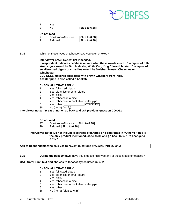

|   | Yes. |                |
|---|------|----------------|
| 2 | Nο   | [Skip to 6.38] |

| 7 | Don't know/Not sure | [Skip to 6.38] |
|---|---------------------|----------------|
| 9 | Refused             | [Skip to 6.38] |

#### **6.32** Which of these types of tobacco have you ever smoked?

**Interviewer note: Repeat list if needed.** 

**If respondent indicates he/she is unsure what these words mean: Examples of fullsized cigars would be Dutch Master, White Owl, King Edward, Muriel. Examples of smaller-sized cigars or cigarillos would be Swisher Sweets, Cheyenne or Winchester.**

**BEE-DEES, flavored cigarettes with brown wrappers from India. A water pipe is also called a hookah.**

#### **CHECK ALL THAT APPLY**

- 1 Yes, full-sized cigars
- 2 Yes, cigarillos or small cigars
- 3 Yes, bidis
- Yes, tobacco in a pipe
- 5 Yes, tobacco in a hookah or water pipe<br>6 Yes, other: [OTHSMK
- 6 Yes, other: \_\_\_\_\_\_\_\_\_\_\_\_\_\_\_\_ [OTHSMKO]<br>88 No (none) (verify)
- No (none) (verify)

**Interviewer note: If R says "none" go back and ask previous question C06Q31**

#### **Do not read**

- 77 Don't know/Not sure **[Skip to 6.38]**
- 99 Refused **[Skip to 6.38]**

#### **Interviewer note: Do not include electronic cigarettes or e-cigarettes in "Other"; if this is the only product mentioned, code as 88 and go back to 6.31 to change to 6.31=2.**

#### **Ask of Respondents who said yes to "Ever" questions (if 6.32=1 thru 66, any)**

**6.33 During the past 30 days**, have you smoked [this type/any of these types] of tobacco?

#### **CATI Note: Limit text and choices to tobacco types listed in 6.32**

#### **CHECK ALL THAT APPLY**

- 1 Yes, full-sized cigars<br>2 Yes, cigarillos or sma
- Yes, cigarillos or small cigars
- 3 Yes, bidis<br>4 Yes, tobac
- 4 Yes, tobacco in a pipe<br>5 Yes, tobacco in a hook
- Yes, tobacco in a hookah or water pipe
- 6 Yes, other:
- 88 No (none) **[skip to 6.38]**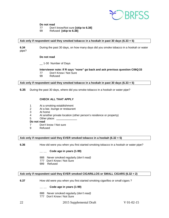

- 77 Don't know/Not sure **[skip to 6.38]**
- 99 Refused **[skip to 6.38]**

#### **Ask only if respondent said they smoked tobacco in a hookah in past 30 days (6.33 = 5)**

**6.34** During the past 30 days, on how many days did you smoke tobacco in a hookah or water pipe?

#### **Do not read**

\_\_ 1-30 Number of Days

## **Interviewer note: If R says "none" go back and ask previous question C06Q33**

- 77 Don't Know / Not Sure
- 99 Refused

#### **Ask only if respondent said they smoked tobacco in a hookah in past 30 days (6.33 = 5)**

**6.35** During the past 30 days, where did you smoke tobacco in a hookah or water pipe?

#### **CHECK ALL THAT APPLY**

- 1 At a smoking establishment
- 2 At a bar, lounge or restaurant<br>3 At home
- 3 At home<br>4 At anoth
- At another private location (other person's residence or property)
- 5 Other place:

#### **Do not read**

- 7 Don't know / Not sure
- 9 Refused

#### **Ask only if respondent said they EVER smoked tobacco in a hookah (6.32 = 5)**

**6.36** How old were you when you first started smoking tobacco in a hookah or water pipe?

#### **\_\_ \_\_ Code age in years (1-99)**

- 888 Never smoked regularly *(don't read)*
- 777 Don't Know / Not Sure
- 999 Refused

#### **Ask only if respondent said they EVER smoked CIGARILLOS or SMALL CIGARS (6.32 = 2)**

**6.37** How old were you when you first started smoking cigarillos or small cigars ?

#### **\_\_ \_\_ Code age in years (1-99)**

- 888 Never smoked regularly *(don't read)*
- 777 Don't Know / Not Sure
- 22 2015 Supplemental Draft V 01-02-15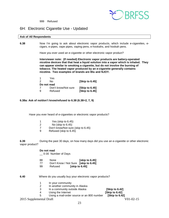

999 Refused

## <span id="page-22-0"></span>6H: Electronic Cigarette Use - Updated

#### **Ask of All Respondents**

**6.38** Now I'm going to ask about electronic vapor products, which include e-cigarettes, ecigars, e-pipes, vape pipes, vaping pens, e-hookahs, and hookah pens.

Have you ever used an e-cigarette or other electronic vapor product?

**Interviewer note: (If needed) Electronic vapor products are battery-operated nicotine devices that that heat a liquid solution into a vapor which is inhaled. They can appear similar to smoking a cigarette, but do not involve the burning of tobacco. The heated vapor produced by an e-cigarette generally contains nicotine. Two examples of brands are Blu and NJOY.** 

| <b>Skip to 6.451</b> |
|----------------------|
|                      |
| <b>Skip to 6.451</b> |
| [Skip to 6.45]       |
|                      |

#### **6.38a: Ask of no/don't know/refused to 6.38 (6.38=2, 7, 9)**

Have you ever heard of e-cigarettes or electronic vapor products?

- 1 Yes (skip to 6.45)<br>2 No (skip to 6.45)
- 2 No (skip to 6.45)<br>7 Don't know/Not sure
- 7 Don't know/Not sure (skip to 6.45)<br>9 Refused (skip to 6.45)
- Refused (skip to 6.45)

**6.39** During the past 30 days, on how many days did you use an e-cigarette or other electronic vapor product?

#### **Do not read**

\_\_ 0-30 Number of Days

- 88 None **[skip to 6.45]**
- 77 Don't Know / Not Sure **[skip to 6.45]**
- 99 Refused **[skip to 6.45]**
- **6.40** Where do you usually buy your electronic vapor products?
	- 1 In your community
	- 2 In another community in Alaska<br>3 In a community outside Alaska
	- 3 In a community outside Alaska **[Skip to 6.42]**
	-
- 4 Using the Internet **[Skip to 6.42]**
	- 5 Using a mail-order source or an 800 number **[Skip to 6.42]**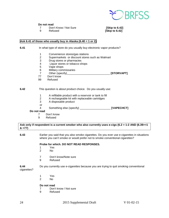

- 7 Don't Know / Not Sure **[Skip to 6.42]**
- 

**[Skip to 6.42]** 

#### **Ask 6.41 of those who usually buy in Alaska (6.40 = 1 or 2)**

**6.41** In what type of store do you usually buy electronic vapor products?

- 1 Convenience stores/gas stations<br>2 Supermarkets or discount stores
- 2 Supermarkets or discount stores such as Walmart<br>3 Drug stores or pharmacies
- 3 Drug stores or pharmacies<br>4 Liquor stores or tobacco sh
- Liquor stores or tobacco shops
- 5 Vape shops
- 6 Military commissaries<br>7 Other (specify)
- Other (specify) **TORVAPT**
- 77 Don't know<br>99 Refused
- Refused

#### **6.42** This question is about product choice. Do you usually use:

- 1 A refillable product with a reservoir or tank to fill<br>2 A rechargeable kit with replaceable cartridges
- 2 A rechargeable kit with replaceable cartridges<br>3 A disposable product
- A disposable product
- or

4 Something else (specify) \_\_\_\_\_\_\_\_\_\_\_\_\_\_\_\_\_\_\_\_ **[VAPECHCT]**

#### **Do not read**

- 7 Don't know<br>9 Refused
- **Refused**

#### **Ask only if respondent is a current smoker who also currently uses e-cigs (6.2 = 1-2 AND (6.39>=1 & <77)**

**6.43** Earlier you said that you also smoke cigarettes. Do you ever use e-cigarettes in situations where you can't smoke or would prefer not to smoke conventional cigarettes?

#### **Probe for which. DO NOT READ RESPONSES.**

- 1 Yes
- $No$
- 7 Don't know/Note sure<br>9 Refused
- **Refused**

#### **6.44** Do you currently use e-cigarettes because you are trying to quit smoking conventional cigarettes?

- 1 Yes<br>2 No
- $No$

- 7 Don't know / Not sure
- 9 Refused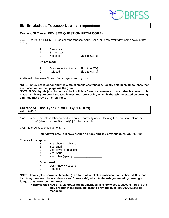

## <span id="page-24-0"></span>**6I: Smokeless Tobacco Use – all respondents**

### **Current SLT use (REVISED QUESTION FROM CORE)**

**6.45** Do you CURRENTLY use chewing tobacco, snuff, Snus, or Iq'mik every day, some days, or not at all?

- 1 Every day
- 2 Some days
- 3 Not at all **[Skip to 6.47a]**

#### **Do not read:**

7 Don't know / Not sure **[Skip to 6.47a] [Skip to 6.47a]** 

Additional Interviewer Notes: Snus (rhymes with 'goose')

**NOTE: Snus (Swedish for snuff) is a moist smokeless tobacco, usually sold in small pouches that are placed under the lip against the gum.** 

**NOTE ALSO: Iq'mik (also known as blackbull) is a form of smokeless tobacco that is chewed. It is made by mixing fire-cured tobacco leaves and "punk ash", which is the ash generated by burning a fungus that grows on birch trees.**

#### **Current SLT use Type (REVISED QUESTION) Ask if 6.45<3**

**6.46** Which smokeless tobacco products do you currently use? Chewing tobacco, snuff, Snus, or Iq'mik\* (also known as Blackbull)? [ Probe for which.]

CATI Note: All responses go to 6.47b

#### **Interviewer note: If R says "none" go back and ask previous question C06Q42.**

#### **Check all that apply**

- 1 Yes, chewing tobacco<br>2 Yes, snuff
- Yes, snuff
- 3 Yes, Iq'Mik or Blackbull
- 4 Yes, Snus<br>5 Yes, other
- Yes, other (specify)

#### **Do not read**

- 7 Don't know / Not sure
- 9 Refused

**NOTE: Iq'mik (also known as blackbull) is a form of smokeless tobacco that is chewed. It is made by mixing fire-cured tobacco leaves and "punk ash", which is the ash generated by burning a fungus that grows on birch trees.**

**INTERVIEWER NOTE: E-cigarettes are not included in "smokeless tobacco"; if this is the only product mentioned, go back to previous question C06Q42 and do recode=3.**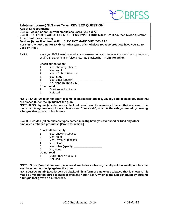

**Lifetime (former) SLT use Type (REVISED QUESTION) Ask of all respondents 6.47 A – Asked of non-current smokeless users 6.45 = 3,7,9 6.47 B - CATI NOTE: AUTOFILL SMOKELESS TYPES FROM 6.46=1-5? If so, then revise question for current users this way: Besides [types filled from 6.46]….? DO NOT MARK OUT "OTHER" For 6.46=7,9, Wording for 6.47b is: What types of smokeless tobacco products have you EVER used or tried?**

#### **6.47A** Have you EVER used or tried any smokeless tobacco products such as chewing tobacco, snuff, , Snus, or Iq'mik\* (also known as Blackbull)? **Probe for which.**

#### **Check all that apply**

- 1 Yes, chewing tobacco<br>2 Yes, snuff
	- Yes, snuff
- 3 Yes, Iq'mik or Blackbull
- 4 Yes, Snus<br>5 Yes other
- Yes, other (specify)
- 6 No, None **[Skip to 6.59]**
- **Do not read**
- 7 Don't know / Not sure
- 9 Refused

**NOTE: Snus (Swedish for snuff) is a moist smokeless tobacco, usually sold in small pouches that are placed under the lip against the gum.** 

**NOTE ALSO: Iq'mik (also known as blackbull) is a form of smokeless tobacco that is chewed. It is made by mixing fire-cured tobacco leaves and "punk ash", which is the ash generated by burning a fungus that grows on birch trees.**

**6.47 B - Besides [fill smokeless types named in 6.46], have you ever used or tried any other smokeless tobacco products? [Probe for which.]**

#### **Check all that apply**

- 1 Yes, chewing tobacco<br>2 Yes, snuff
- Yes, snuff
- 3 Yes, Iq'Mik or Blackbull
- 4 Yes, Snus<br>5 Yes other
- 5 Yes, other (specify) \_\_\_\_\_\_\_\_\_\_\_\_\_\_\_\_\_\_
- 6 No, None

#### **Do not read**

- 7 Don't know / Not sure
- 9 Refused

**NOTE: Snus (Swedish for snuff) is a moist smokeless tobacco, usually sold in small pouches that are placed under the lip against the gum.** 

**NOTE ALSO: Iq'mik (also known as blackbull) is a form of smokeless tobacco that is chewed. It is made by mixing fire-cured tobacco leaves and "punk ash", which is the ash generated by burning a fungus that grows on birch trees.**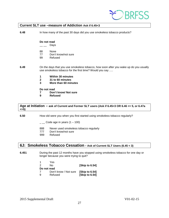

#### **Current SLT use –measure of Addiction Ask if 6.45<3**

**6.48** In how many of the past 30 days did you use smokeless tobacco products?

#### **Do not read**

- $\_\_\_\_\_$  Days
- 88 None
- 77 Don't know/not sure
- 99 Refused

**6.49** On the days that you use smokeless tobacco, how soon after you wake up do you usually use smokeless tobacco for the first time? Would you say .....

- **1 Within 30 minutes**
- **2 31 to 60 minutes**
- **3 More than 60 minutes**

**Do not read**

- **7 Don't know/ Not sure**
- **9 Refused**

#### **Age at Initiation – ask of Current and Former SLT users (Ask if 6.45<3 OR 6.46 <= 5, or 6.47a <=5)**

**6.50** How old were you when you first started using smokeless tobacco regularly?

- $\_\_$  Code age in years (1 100)
- 888 Never used smokeless tobacco regularly<br>777 Don't know/not sure
- 777 Don't know/not sure<br>999 Refused
- Refused

## <span id="page-26-0"></span>**6J: Smokeless Tobacco Cessation - Ask of Current SLT Users (6.45 < 3)**

**6.451** During the past 12 months have you stopped using smokeless tobacco for one day or longer because you were trying to quit?

|               | Yes                   |                      |
|---------------|-----------------------|----------------------|
| $\mathcal{P}$ | N٥                    | [Skip to 6.54]       |
| Do not read   |                       |                      |
|               | Don't know / Not sure | <b>Skip to 6.541</b> |
| ്റ            | Refused               | [Skip to 6.54]       |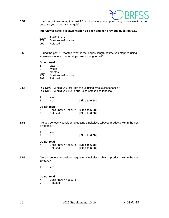

**6.52** How many times during the past 12 months have you stopped using smokeless tobacco because you were trying to quit?

**Interviewer note: If R says "none" go back and ask previous question 6.51.**

- $\frac{1}{777}$  1 -400 times
- Don't know/Not sure
- 999 Refused
- **6.53** During the past 12 months, what is the longest length of time you stopped using smokeless tobacco because you were trying to quit?

# **Do not read**<br>1 days

- 
- $\frac{1}{2}$  - $2_{-}$  weeks<br>3 months
- months
- 777 Don't know/Not sure
- 999 Refused

#### **6.54 [If 6.51=1]** Would you [still] like to quit using smokeless tobacco? **[If 6.51>1]** Would you like to quit using smokeless tobacco?

1 Yes<br>2 No 2 No **[Skip to 6.58]**

#### **Do not read**

|   | Don't know / Not sure [Skip to 6.58] |                |
|---|--------------------------------------|----------------|
| 9 | Refused                              | [Skip to 6.58] |

- **6.55** Are you seriously considering quitting smokeless tobacco products within the next 6 months?
	- 1 Yes<br>2 No 2 No **[Skip to 6.58]**

#### **Do not read**

- 7 Don't know / Not sure **[Skip to 6.58]** 9 Refused **[Skip to 6.58]**
- **6.56** Are you seriously considering quitting smokeless tobacco products within the next 30 days?
	- 1 Yes<br>2 No
	- N<sub>o</sub>

- 7 Don't know / Not sure<br>9 Refused
- **Refused**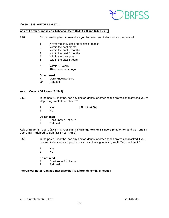

#### **If 6.50 = 888, AUTOFILL 6.57=1**

#### **Ask of Former Smokeless Tobacco Users (6.45 >= 3 and 6.47a <= 5)**

- **6.57** About how long has it been since you last used smokeless tobacco regularly?
	- 1 Never regularly used smokeless tobacco<br>2 Within the past month
	- Within the past month
	- 3 Within the past 3 months
	- 4 Within the past 6 months<br>5 Within the past vear
	- Within the past year
	- 6 Within the past 5 years
	- 7 Within 10 years
	- 8 10 or more years ago

#### **Do not read**

- 77 Don't know/Not sure
- 99 Refused

#### **Ask of Current ST Users (6.45<3)**

- **6.58** In the past 12 months, has any doctor, dentist or other health professional advised you to stop using smokeless tobacco?
	- 1 Yes **[Skip to 6.60]**
	- No.

#### **Do not read**

- 7 Don't know / Not sure<br>9 Refused
- **Refused**

#### **Ask of Never ST users (6.45 = 3, 7, or 9 and 6.47a=6), Former ST users (6.47a<=5), and Current ST users NOT advised to quit (6.58 = 2, 7, or 9)**

- **6.59** In the past 12 months, has any doctor, dentist or other health professional asked if you use smokeless tobacco products such as chewing tobacco, snuff, Snus, or Iq'mik?
	- 1 Yes<br>2 No
	- No.

#### **Do not read**

- 7 Don't know / Not sure
- 9 Refused

#### **Interviewer note: Can add that Blackbull is a form of Iq'mik, if needed**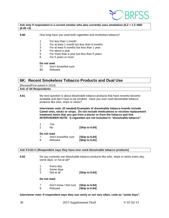

#### **Ask only if respondent is a current smoker who also currently uses smokeless (6.2 = 1-2 AND (6.45 <3)**

#### **6.60** How long have you used both cigarettes and smokeless tobacco?

- 1 For less than 1 month
- 2 For at least 1 month but less than 6 months
- $3$  For at least 6 months but less than 1 year<br>4 For about a year
- For about a year
- 5 For more than a year but less than 5 years
- 6 For 5 years or more

#### **Do not read**

- 77 Don't know/Not sure<br>99 Refused
- Refused

### <span id="page-29-0"></span>**6K: Recent Smokeless Tobacco Products and Dual Use**

[Revised/First asked in 2014]

#### **Ask of All Respondents**

**6.61** My next question is about dissolvable tobacco products that have recently become available and don't have to be smoked. Have you ever used dissolvable tobacco products like orbs, strips or sticks?

> **Interviewer note: (If needed) Examples of dissolvable tobacco brands include Camel orbs, sticks or strips. Do not include medications or nicotine replacement treatment items that you got from a doctor or from the tobacco quit line. INTERVIEWER NOTE: E-cigarettes are not included in "dissolvable tobacco".**

| 1<br><b>Paragona</b> |  |  |
|----------------------|--|--|
|                      |  |  |

| No | [Skip to 6.64] |
|----|----------------|
|----|----------------|

**Do not read**

| 7 | Don't know/Not sure | [Skip to 6.64] |
|---|---------------------|----------------|
| 9 | Refused             | [Skip to 6.61] |

#### **Ask if 6.61=1 (Respondent says they have ever used dissolvable tobacco products)**

**6.62** Do you currently use dissolvable tobacco products like orbs, strips or sticks every day, some days, or not at all?

- 1 Every day<br>2 Some days
- 2 Some days<br>3 Not at all
- **[Skip to 6.64]**

#### **Do not read:**

7 Don't know / Not sure **[Skip to 6.64] [Skip to 6.64]** 

#### **Interviewer note: If respondent says they use rarely or not very often, code as "some days".**

30 2015 Supplemental Draft V 01-02-15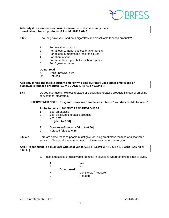

#### **Ask only if respondent is a current smoker who also currently uses dissolvable tobacco products (6.2 = 1-2 AND 6.62<3)**

- **6.63.** How long have you used both cigarettes and dissolvable tobacco products?
	- 1 For less than 1 month<br>2 For at least 1 month by
	- 2 For at least 1 month but less than 6 months
	- 3 For at least 6 months but less than 1 year
	- 4 For about a year<br>5 For more than a
	- 5 For more than a year but less than 5 years
	- 6 For 5 years or more

#### **Do not read**

- 77 Don't know/Not sure
- 99 Refused

**Ask only if respondent is a current smoker who also currently uses either smokeless or dissolvable tobacco products (6.2 = 1-2 AND (6.45 <3 or 6.62<3 ))**

**6.64** Do you ever use smokeless tobacco or dissolvable tobacco products instead of smoking conventional cigarettes?

#### **INTERVIEWER NOTE: E-cigarettes are not "smokeless tobacco" or "dissolvable tobacco".**

#### **Probe for which. DO NOT READ RESPONSES.**

- 1 Yes, smokeless
- 2 Yes, dissolvable tobacco products<br>3 Yes both
- 3 Yes, both<br>8 No **[skip t**
- 8 No **[skip to 6.66]**
- 7 Don't know/Note sure **[skip to 6.66]**
- 9 Refused **[skip to 6.66]**
- **6.65a-c** Here are some reasons people might give for using smokeless tobacco or dissolvable tobacco. Please tell me whether each of these reasons is true for you.

**Ask IF respondent is a dual user who said yes to 6.64 IF 6.64=1-3 AND 6.2 = 1-2 AND (6.45 <3 or 6.62<3 )**

a. I use [smokeless or dissolvable tobacco] in situations where smoking is not allowed.

|     |             | Yes                   |
|-----|-------------|-----------------------|
| -2  |             | N٥                    |
|     | Do not read |                       |
| - 7 |             | Don't know / Not sure |
| 9   |             | Refused               |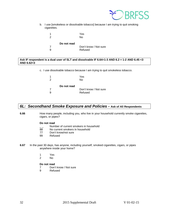

b. I use [smokeless or dissolvable tobacco] because I am trying to quit smoking cigarettes.

| 1<br>2 |             | Yes<br>No             |
|--------|-------------|-----------------------|
|        | Do not read |                       |
|        |             | Don't know / Not sure |
| a      |             | Refused               |

#### **Ask IF respondent is a dual user of SLT and dissolvable IF 6.64=1-3 AND 6.2 = 1-2 AND 6.45 <3 AND 6.62<3**

c. I use dissolvable tobacco because I am trying to quit smokeless tobacco.

| 1             |             | Yes                   |
|---------------|-------------|-----------------------|
| $\mathcal{P}$ |             | N٥                    |
|               | Do not read |                       |
|               |             | Don't know / Not sure |
| я             |             | Refused               |

## <span id="page-31-0"></span>*6L: Secondhand Smoke Exposure and Policies* **– Ask of All Respondents**

**6.66** How many people, including you, who live in your household currently smoke cigarettes, cigars, or pipes?

#### **Do not read**

- Number of current smokers in household
- 88 No current smokers in household
- 77 Don't know/not sure
- 99 Refused
- **6.67** In the past 30 days, has anyone, including yourself, smoked cigarettes, cigars, or pipes anywhere inside your home?
	- 1 Yes<br>2 No
	- No.

- 7 Don't know / Not sure
- 9 Refused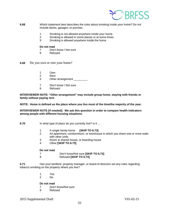

- **6.68** Which statement best describes the rules about smoking inside your home? Do not include decks, garages, or porches.
	- 1 Smoking is not allowed anywhere inside your home
	- 2 Smoking is allowed in some places or at some times<br>3 Smoking is allowed anywhere inside the home
	- 3 Smoking is allowed anywhere inside the home

- 7 Don't know / Not sure
- 9 Refused
- **6.69** Do you own or rent your home?
	- 1 Own
	- 2 Rent<br>3 Other
	- Other arrangement \_\_
	- 7 Don't know / Not sure<br>9 Refused
	- **Refused**

**INTERVIEWER NOTE: "Other arrangement" may include group home, staying with friends or family without paying rent.**

**NOTE: Home is defined as the place where you live most of the time/the majority of the year.** 

**INTERVIEWER NOTE [if needed]: We ask this question in order to compare health indicators among people with different housing situations.**

- **6.70** In what type of place do you currently live? Is it ...
	- 1 A single family home **[SKIP TO 6.73]**
	- 2 An apartment, condominium, or townhouse in which you share one or more walls with other units
	- 3 Room in shared house, or boarding house
	- 4 Other **[SKIP TO 6.73]**

#### **Do not read**

- 7 Don't know/Not sure **[SKIP TO 6.73]**
- 9 Refused **[SKIP TO 6.73]**

**6.71** Has your landlord, property manager, or board of directors set any rules regarding tobacco smoking on the property where you live?

- 1 Yes<br>2 No
- N<sub>o</sub>

#### **Do not read**

- 7 Don't know/Not sure
- 9 Refused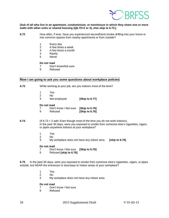

#### **[Ask of all who live in an apartment, condominium, or townhouse in which they share one or more walls with other units or shared housing (Q6.70=2 or 3), else skip to 6.73.]**

- **6.72** How often, if ever, have you experienced secondhand smoke drifting into your home or into common spaces from nearby apartments or from outside?
	- 1 Every day
	- 2 A few times a week
	- 3 A few times a month<br>4 Rarely
	- **Rarely**
	- 5 Never

#### **Do not read**

- 7 Don't know/Not sure
- 9 Refused

#### **Now I am going to ask you some questions about workplace policies**

- **6.73** While working at your job, are you indoors most of the time?
	-
	- 1 Yes<br>2 No 2 No<br>3 Not
	- Not employed **[Skip to 6.77]**

#### **Do not read**

7 Don't know / Not sure **[Skip to 6.76]**  9 Refused **[Skip to 6.76]**

#### **6.74** (If 6.73 = 2 add: Even though most of the time you do not work indoors), In the past 30 days, were you exposed to smoke from someone else's cigarettes, cigars, or pipes anywhere indoors at your workplace?

- 1 Yes<br>2 No
- No.
- 3 My workplace does not have any indoor area **[skip to 6.76]**

#### **Do not read**

- 7 Don't know / Not sure **[Skip to 6.76]**
- 9 Refused **[skip to 6.76]**

**6.75** In the past 30 days, were you exposed to smoke from someone else's cigarettes, cigars, or pipes outside, but NEAR the entrances or doorways to indoor areas of your workplace?

- 1 Yes
- 2 No
- 3 My workplace does not have any indoor area

- 7 Don't know / Not sure<br>9 Refused
- **Refused**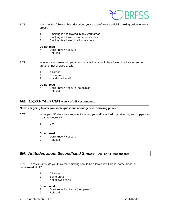

- **6.76** Which of the following best describes your place of work's official smoking policy for work areas?
	- 1 Smoking is not allowed in any work areas
	- 2 Smoking is allowed in some work areas<br>3 Smoking is allowed in all work areas
	- Smoking is allowed in all work areas

- 7 Don't know / Not sure
- 9 Refused
- **6.77** In indoor work areas, do you think that smoking should be allowed in all areas, some areas, or not allowed at all?
	- 1 All areas
	- 2 Some areas<br>3 Not allowed
	- Not allowed at all

#### **Do not read**

- 7 Don't know / Not sure (no opinion)
- 9 Refused

### <span id="page-34-0"></span>*6M: Exposure in Cars* **– Ask of All Respondents**

#### **Now I am going to ask you some questions about general smoking policies…**

- **6.78** In the past 30 days, has anyone, including yourself, smoked cigarettes, cigars, or pipes in a car you were in?
	- 1 Yes
	- 2 No

#### **Do not read**

- 7 Don't know / Not sure
- 9 Refused

## <span id="page-34-1"></span>*6N: Attitudes about Secondhand Smoke* **– Ask of All Respondents**

**6.79** In restaurants, do you think that smoking should be allowed in all areas, some areas, or not allowed at all?

- 1 All areas
- 2 Some areas
- 3 Not allowed at all

- 7 Don't know / Not sure (no opinion)<br>9 Refused
- **Refused**
- 2015 Supplemental Draft V01-02-15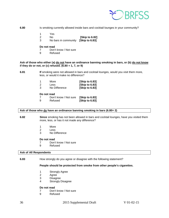

- **6.80** Is smoking currently allowed inside bars and cocktail lounges in your community?
	- 1 Yes
	- 2 No **[Skip to 6.82]**
		- No bars in community

- 7 Don't know / Not sure
- 9 Refused

#### **Ask of those who either (a) do not have an ordinance banning smoking in bars, or (b) do not know if they do or not, or (c) refused. (6.80 = 1, 7, or 9)**

**6.81 If** smoking were not allowed in bars and cocktail lounges, would you visit them more, less, or would it make no difference?

| -1 | More          | [Skip to 6.83] |
|----|---------------|----------------|
| 2  | <b>Less</b>   | [Skip to 6.83] |
| 3  | No Difference | [Skip to 6.83] |

**Do not read**

| 7 | Don't know / Not sure [Skip to 6.83] |                |  |  |
|---|--------------------------------------|----------------|--|--|
| 9 | Refused                              | [Skip to 6.83] |  |  |

#### **Ask of those who do have an ordinance banning smoking in bars (6.80= 2)**

**6.82 Since** smoking has not been allowed in bars and cocktail lounges, have you visited them more, less, or has it not made any difference?

- 1 More
- 2 Less
- 3 No Difference

#### **Do not read**

- 7 Don't know / Not sure<br>9 Refused
- **Refused**

#### **Ask of All Respondents**

**6.83** How strongly do you agree or disagree with the following statement?

#### **People should be protected from smoke from other people's cigarettes.**

- 1 Strongly Agree<br>2 Agree
- **Agree**
- 3 Disagree
- 4 Strongly Disagree

- 7 Don't know / Not sure<br>9 Refused
- **Refused**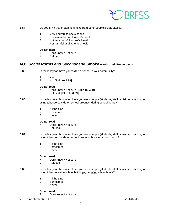

- **6.84** Do you think that breathing smoke from other people's cigarettes is:
	- 1 Very harmful to one's health
	- 2 Somewhat harmful to one's health<br>3 Not very harmful to one's health
	- Not very harmful to one's health
	- 4 Not harmful at all to one's health

- 7 Don't know / Not sure
- 9 Refuse

#### <span id="page-36-0"></span>*6O: Social Norms and Secondhand Smoke* **– Ask of All Respondents**

- **6.85** In the last year, have you visited a school in your community?
	-
	- 1 Yes<br>2 No 2 No **[Skip to 6.89]**

#### **Do not read**

- 7 Don't know / Not sure **[Skip to 6.89]**
- 9 Refused **[Skip to 6.89]**
- **6.86** In the last year, how often have you seen people (students, staff or visitors) smoking or using tobacco outside on school grounds, during school hours?
	- 1 All the time
	- 2 Sometimes<br>3 Never
	- **Never**

#### **Do not read**

- 7 Don't know / Not sure
- 9 Refused
- **6.87** In the last year, how often have you seen people (students, staff or visitors) smoking or using tobacco outside on school grounds, but after school hours?
	- 1 All the time
	- 2 Sometimes
	- 3 Never

# **Do not read**<br> **7** Don'

- Don't know / Not sure
- 9 Refused
- **6.88** In the last year, how often have you seen people (students, staff or visitors) smoking or using tobacco inside school buildings, but after school hours?
	- 1 All the time<br>2 Sometimes
	- 2 Sometimes<br>3 Never
	- **Never**

#### **Do not read**

7 Don't know / Not sure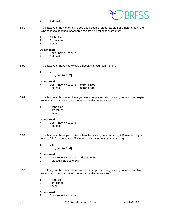

- 9 Refused
- **6.89** In the last year, how often have you seen people (students, staff or others) smoking or using tobacco at school sponsored events held off school grounds?
	- 1 All the time<br>2 Sometimes
	- **Sometimes**
	- 3 Never

- 7 Don't know / Not sure
- 9 Refused
- **6.90** In the last year, have you visited a hospital in your community?
	- 1 Yes 2 No **[Skip to 6.92]**

#### **Do not read**

- 7 Don't know / Not sure [**skip to 6.92] [skip to 6.92]**
- **6.91** In the last year, how often have you seen people smoking or using tobacco on hospital grounds, such as walkways or outside building entrances?
	- 1 All the time
	- 2 Sometimes<br>3 Never
	- **Never**

#### **Do not read**

- 7 Don't know / Not sure<br>9 Refused
	- **Refused**
- **6.92** In the last year, have you visited a health clinic in your community? (*If needed say, a health clinic is a medical facility where patients do not stay overnight*)
	- 1 Yes
	- 2 No **[Skip to 6.94]**

#### **Do not read**

- 7 Don't know / Not sure **[Skip to 6.94]**
- 9 Refused **[Skip to 6.94]**
- **6.93** In the last year, how often have you seen people smoking or using tobacco on clinic grounds, such as walkways or outside building entrances?
	- 1 All the time<br>2 Sometimes
	- **Sometimes**
	- 3 Never

#### **Do not read**

7 Don't know / Not sure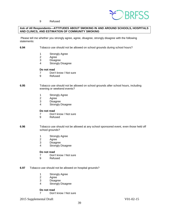

#### 9 Refused

#### **Ask of All Respondents—ATTITUDES ABOUT SMOKING IN AND AROUND SCHOOLS, HOSPITALS AND CLINICS, AND ESTIMATION OF COMMUNITY SMOKING**

Please tell me whether you strongly agree, agree, disagree, strongly disagree with the following statements:

- **6.94** Tobacco use should not be allowed on school grounds during school hours?
	- 1 Strongly Agree
	- 2 Agree<br>3 Disagr
	- 3 Disagree<br>4 Strongly I
	- Strongly Disagree

#### **Do not read**

- 7 Don't know / Not sure
- 9 Refused

#### **6.95** Tobacco use should not be allowed on school grounds after school hours, including evening or weekend events?

- 1 Strongly Agree<br>2 Agree
- 2 Agree<br>3 Disagr
- **Disagree**
- 4 Strongly Disagree

#### **Do not read**

- 7 Don't know / Not sure<br>9 Refused
- **Refused**
- **6.96** Tobacco use should not be allowed at any school sponsored event, even those held off school grounds?
	- 1 Strongly Agree<br>2 Agree
	- Agree
	- 3 Disagree<br>4 Strongly I
	- Strongly Disagree

# **Do not read**<br>7 Don'

- Don't know / Not sure
- 9 Refused

#### **6.97** Tobacco use should not be allowed on hospital grounds?

- 1 Strongly Agree
- 2 Agree
- 3 Disagree<br>4 Strongly I
- Strongly Disagree

#### **Do not read**

7 Don't know / Not sure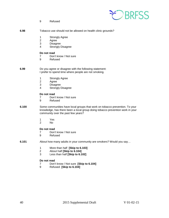

9 Refused

| 6.98 | Tobacco use should not be allowed on health clinic grounds? |  |
|------|-------------------------------------------------------------|--|
|------|-------------------------------------------------------------|--|

- 1 Strongly Agree<br>2 Agree
- 2 Agree<br>3 Disagr
- **Disagree**
- 4 Strongly Disagree

# **Do not read**<br> **7** Don'

- 7 Don't know / Not sure<br>9 Refused
- **Refused**
- **6.99** Do you agree or disagree with the following statement: I prefer to spend time where people are not smoking.
	- 1 Strongly Agree<br>2 Agree
	- 2 Agree<br>3 Disagr
	- 3 Disagree<br>4 Strongly I
	- Strongly Disagree

#### **Do not read**

- 7 Don't know / Not sure<br>9 Refused
- **Refused**
- **6.100** Some communities have local groups that work on tobacco prevention. To your knowledge, has there been a local group doing tobacco prevention work in your community over the past few years?
	- 1 Yes
	- No.

# **Do not read**<br> **7** Don'

- 7 Don't know / Not sure<br>9 Refused
- **Refused**
- **6.101** About how many adults in your community are smokers? Would you say…
	- 1 More than half **[Skip to 6.103]**
	- 2 About half **[Skip to 6.104]**
	- Less than half **[Skip to 6.102]**

# **Do not read**<br> **7** Don'

- 7 Don't know / Not sure **[Skip to 6.104]**
- 9 Refused **[Skip to 6.104]**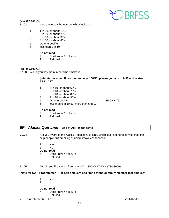

#### **[ask if 6.101=3]**

**6.102** Would you say the number who smoke is…

- 1 1 in 10, or about 10%
- 2 2 in 10, or about 20%
- 3 3 in 10, or about 30%<br>4 4 in 10, or about 40%
- 4 4 in 10, or about 40%
- 5 Other (specify)
- 6 less than 1 in 10

# **Do not read**<br> **7** Don'

- 7 Don't know / Not sure<br>9 Refused
- **Refused**

#### **[ask if 6.101=1]**

**6.103** Would you say the number who smoke is…

#### **[Interviewer note: If respondent says "50%", please go back to 6.98 and revise to 6.98 = "2"]**

- 1 6 in 10, or about 60%
- 2 7 in 10, or about 70%
- 3 8 in 10, or about 80%
- 4 9 in 10, or about 90%
- 5 Other (specify) \_\_\_\_\_\_\_\_\_\_\_\_\_\_\_\_\_\_\_\_\_\_\_ [SMOKHIT]
- 6 less than 6 in 10 but more than 5 in 10

# **Do not read**<br> **7** Don'

- 7 Don't know / Not sure<br>9 Refused
- **Refused**

## <span id="page-40-0"></span>*6P: Alaska Quit Line* **– Ask of All Respondents**

- **6.104** Are you aware of the Alaska Tobacco Quit Line, which is a telephone service that can help people quit smoking or using smokeless tobacco?
	- 1 Yes 2 No **Do not read** 7 Don't know / Not sure
	- 9 Refused
- 

## **6.105** Would you like the toll free number? 1-800-QUITNOW (784-8669)

#### **[Note for CATI Programmer – For non-smokers add "for a friend or family member that smokes"]**

- 1 Yes
- No.

- 7 Don't know / Not sure<br>9 Refused
- **Refused**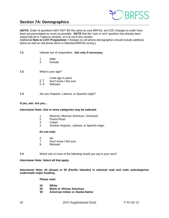

## <span id="page-41-0"></span>**Section 7A: Demographics**

[**NOTE:** Order of questions MAY NOT BE the same as core BRFSS, but CDC changes to order have been accommodated as much as possible. **NOTE** that the "own or rent" question has already been asked (Q6.66 in Tobacco section), so it is not in this section.

Additional **Note to CATI Programmer:** Changes to cell phone demographics should include additions below as well as cell phone items in Standard BRFSS survey.]

- **7.1** Indicate sex of respondent. **Ask only if necessary.**
	- 1 Male<br>2 Fema
		- **Female**
- **7.2** What is your age?
	- $\frac{1}{2}$  Code age in years<br>0 7 Don't know / Not su
	- 0 7 Don't know / Not sure<br>0 9 Refused
	- Refused
- **7.3** Are you Hispanic, Latino/a, or Spanish origin?

#### **If yes, ask: Are you…**

#### **Interviewer Note:** *One or more categories may be selected.*

- 1 Mexican, Mexican American, Chicano/a
- 2 Puerto Rican<br>3 Cuban
- 3 Cuban<br>4 Anothe
- 4 Another Hispanic, Latino/a, or Spanish origin

#### **Do not read:**

- 5 No<br>7 Dou
- Don't know / Not sure
- 9 Refused
- **7.4** Which one or more of the following would you say is your race?

**Interviewer Note: Select all that apply.**

**Interviewer Note: 40 (Asian) or 50 (Pacific Islander) is selected read and code subcategories underneath major heading.**

#### **Please read:**

- 
- **10 White 20 Black or African American**
- **30 American Indian or Alaska Native**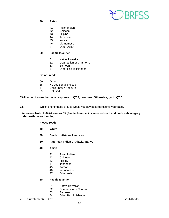

**40 Asian**

- 41 Asian Indian<br>42 Chinese
- **Chinese**
- 43 Filipino
- 44 Japanese<br>45 Korean
- **Korean**
- 46 Vietnamese
- 47 Other Asian

#### **50 Pacific Islander**

- 51 Native Hawaiian
- 52 Guamanian or Chamorro
- 53 Samoan<br>54 Other Pa
- **Other Pacific Islander**

#### **Do not read:**

- 60 Other<br>88 No ad
- No additional choices
- 77 Don't know / Not sure<br>99 Refused
- Refused

#### **CATI note: If more than one response to Q7.4; continue. Otherwise, go to Q7.6.**

**7.5** Which one of these groups would you say best represents your race?

#### **Interviewer Note: If 04 (Asian) or 05 (Pacific Islander) is selected read and code subcategory underneath major heading.**

- **Please read:**
- **10 White**
- **20 Black or African American**
- **30 American Indian or Alaska Native**
- **40 Asian**
	- 41 Asian Indian
	- 42 Chinese
	-
	- 43 Filipino<br>44 Japane **Japanese**
	- 45 Korean<br>46 Vietnam
	- **Vietnamese**
	- 47 Other Asian

#### **50 Pacific Islander**

- 51 Native Hawaiian<br>52 Guamanian or C
- Guamanian or Chamorro
- 53 Samoan
- 54 Other Pacific Islander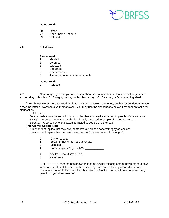

- 60 Other
- 77 Don't know / Not sure
- 99 Refused

**7.6** Are you…?

## **Please read:**

- **Married**
- 2 Divorced
- 3 Widowed<br>4 Separated
- **Separated**
- 5 Never married
- 6 A member of an unmarried couple

## **Do not read:**<br>a<br>Refus

**Refused** 

**7.7** Now I'm going to ask you a question about sexual orientation. Do you think of yourself as: A. Gay or lesbian, B. Straight, that is, not lesbian or gay, C. Bisexual, or D. something else?

 [**Interviewer Notes:** Please read the letters with the answer categories, so that respondent may use either the letter or words to give their answer. You may use the descriptions below if respondent asks for clarification.

IF NEEDED:

Gay or Lesbian—A person who is gay or lesbian is primarily attracted to people of the same sex. Straight—A person who is "straight" is primarily attracted to people of the opposite sex.

Bisexual—A person who is bisexual attracted to people of either sex.]

#### [**Interviewer Coding Note:**

If respondent replies that they are "homosexual," please code with "gay or lesbian". If respondent replies that they are "heterosexual," please code with "straight".]

- 2 Gay or Lesbian<br>1 Straight, that is,
- 1 Straight, that is, not lesbian or gay<br>3 Bisexual
- **Bisexual**
- 4 Something else? (specify?) \_\_\_\_\_\_\_\_\_\_\_\_\_
- 7 DON'T KNOW/NOT SURE
- 9 REFUSED

IF NEEDED: "Research has shown that some sexual minority community members have important health risk factors, such as smoking. We are collecting information about sexual orientation to learn whether this is true in Alaska. You don't have to answer any question if you don't want to."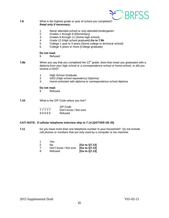

#### **7.8** What is the highest grade or year of school you completed? **Read only if necessary:**

- 1 Never attended school or only attended kindergarten
- 2 Grades 1 through 8 (Elementary)
- 3 Grades 9 through 11 (Some high school)<br>4 Grade 12 (High school graduate) Go to 7
- 4 Grade 12 (High school graduate**) Go to 7.9b**
- 5 College 1 year to 3 years (Some college or technical school)
- 6 College 4 years or more (College graduate)

# **Do not read:**<br>9 Refus

- **Refused**
- **7.8b** When you say that you completed the 12<sup>th</sup> grade, does that mean you graduated with a diploma from your high school or a correspondence school or home-school, or did you receive a GED?
	- 1 High School Graduate<br>2 GED (High school equi
	- 2 GED (High school equivalency Diploma)<br>3 Home-schooled with diploma or correspo
	- Home-schooled with diploma or correspondence school diploma

#### **Do not read:**

- 9 Refused
- **7.10** What is the ZIP Code where you live?

|       | ZIP Code              |
|-------|-----------------------|
| 77777 | Don't know / Not sure |
| 99999 | Refused               |

#### **CATI NOTE: If cellular telephone interview skip to 7.14 (QSTVER GE 20)**

**7.11** Do you have more than one telephone number in your household? Do not include cell phones or numbers that are only used by a computer or fax machine.

|    | Yes                   |               |
|----|-----------------------|---------------|
| 2  | N٥                    | [Go to Q7.13] |
| -7 | Don't know / Not sure | [Go to Q7.13] |
| ്യ | Refused               | [Go to Q7.13] |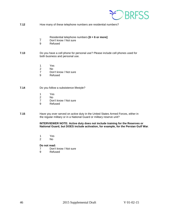

- **7.12** How many of these telephone numbers are residential numbers?
	- \_ Residential telephone numbers **[6 = 6 or more]**
	- Don't know / Not sure
	- 9 Refused
- **7.13** Do you have a cell phone for personal use? Please include cell phones used for both business and personal use.
	- 1 Yes<br>2 No
	- $N<sub>0</sub>$
	- 7 Don't know / Not sure
	- 9 Refused

#### **7.14** Do you follow a subsistence lifestyle?

- 1 Yes<br>2 No
- N<sub>o</sub>
- 7 Don't know / Not sure<br>9 Refused
- **Refused**
- **7.15** Have you ever served on active duty in the United States Armed Forces, either in the regular military or in a National Guard or military reserve unit?

#### **INTERVIEWER NOTE: Active duty does not include training for the Reserves or National Guard, but DOES include activation, for example, for the Persian Gulf War**.

- 1 Yes<br>2 No
- N<sub>o</sub>

- 7 Don't know / Not sure<br>9 Refused
- **Refused**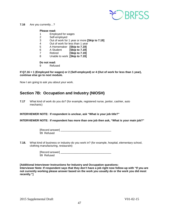

#### **7.16** Are you currently…?

#### **Please read:**

- 1 Employed for wages
- 2 Self-employed<br>3 Out of work for
- 3 Out of work for 1 year or more **[Skip to 7.19]**
- 4 Out of work for less than 1 year
- 5 A Homemaker **[Skip to 7.19]**
- 6 A Student **[Skip to 7.19]**
- 7 Retired **[Skip to 7.19]**
- 8 Unable to work **[Skip to 7.19]**

# **Do not read:**<br>9 Refus

**Refused** 

**If Q7.16 = 1 (Employed for wages) or 2 (Self-employed) or 4 (Out of work for less than 1 year), continue else go to next module.**

Now I am going to ask you about your work.

## <span id="page-46-0"></span>**Section 7B: Occupation and Industry (NIOSH)**

**7.17** What kind of work do you do? (for example, registered nurse, janitor, cashier, auto mechanic)

**INTERVIEWER NOTE: If respondent is unclear, ask "What is your job title?"**

**INTERVIEWER NOTE: If respondent has more than one job then ask, "What is your main job?"**

| [Record answer] |            |  |
|-----------------|------------|--|
|                 | 99 Refused |  |

**7.18.** What kind of business or industry do you work in? (for example, hospital, elementary school, clothing manufacturing, restaurant)

> [Record answer] \_\_\_\_\_\_\_\_\_\_\_\_\_\_\_\_\_\_\_\_\_\_\_\_\_\_\_\_\_\_\_\_\_ 99 Refused

**[Additional Interviewer Instructions for Industry and Occupation questions: Interviewer Note: If respondent says that they don't have a job right now follow-up with "If you are not currently working please answer based on the work you usually do or the work you did most recently."]**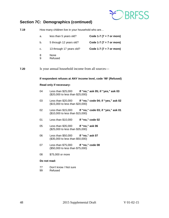

# <span id="page-47-0"></span>**Section 7C: Demographics (continued)**

| 7.19 | How many children live in your household who are |                                                                |                                    |  |
|------|--------------------------------------------------|----------------------------------------------------------------|------------------------------------|--|
|      | a.                                               | less than 5 years old?                                         | Code 1-7 ( $7 = 7$ or more)        |  |
|      | b.                                               | 5 through 12 years old?                                        | Code 1-7 ( $7 = 7$ or more)        |  |
|      | c.                                               | 13 through 17 years old?                                       | Code 1-7 ( $7 = 7$ or more)        |  |
|      | 8<br>9                                           | None<br>Refused                                                |                                    |  |
| 7.20 |                                                  | Is your annual household income from all sources—              |                                    |  |
|      |                                                  | If respondent refuses at ANY income level, code '99' (Refused) |                                    |  |
|      |                                                  | Read only if necessary:                                        |                                    |  |
|      | 04                                               | Less than \$25,000<br>(\$20,000 to less than \$25,000)         | If "no," ask 05; if "yes," ask 03  |  |
|      | 03                                               | Less than \$20,000<br>(\$15,000 to less than \$20,000)         | If "no," code 04; if "yes," ask 02 |  |
|      | 02                                               | Less than $$15,000$<br>(\$10,000 to less than \$15,000)        | If "no," code 03; if "yes," ask 01 |  |
|      | 01                                               | Less than $$10,000$                                            | If "no," code 02                   |  |
|      | 05                                               | Less than \$35,000<br>(\$25,000 to less than \$35,000)         | If "no," ask 06                    |  |
|      | 06                                               | Less than \$50,000<br>(\$35,000 to less than \$50,000)         | If "no," ask 07                    |  |
|      | 07                                               | Less than \$75,000<br>(\$50,000 to less than \$75,000)         | If "no," code 08                   |  |
|      | 08                                               | \$75,000 or more                                               |                                    |  |
|      | Do not read:                                     |                                                                |                                    |  |
|      | 77<br>99                                         | Don't know / Not sure<br>Refused                               |                                    |  |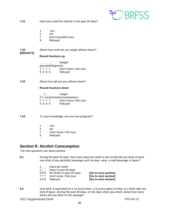

- **7.21** Have you used the internet in the past 30 days?
	- 1 Yes<br>2 No
	- 2 No
	- 7 Don't know/Not sure<br>9 Refused
	- **Refused**
- **7.22** About how much do you weigh without shoes? **[WEIGHT2]**

#### **Round fractions up**

| Weight |                    |  |  |                       |  |
|--------|--------------------|--|--|-----------------------|--|
|        | (pounds/kilograms) |  |  |                       |  |
|        | 7777               |  |  | Don't know / Not sure |  |
|        | 9999               |  |  | Refused               |  |

**7.23** About how tall are you without shoes?

#### **Round fractions down**

| Height<br>$\mathcal{L}$ and $\mathcal{L}$ |      |  |  |                       |  |  |
|-------------------------------------------|------|--|--|-----------------------|--|--|
| (f t / inches/meters/centimeters)         |      |  |  |                       |  |  |
|                                           | 7777 |  |  | Don't know / Not sure |  |  |
|                                           | 9999 |  |  | Refused               |  |  |

**7.24** To your knowledge, are you now pregnant?

- 1 Yes
- 2 No<br>7 Dor
- Don't know / Not sure
- 9 Refused

## <span id="page-48-0"></span>**Section 8: Alcohol Consumption**

The next questions are about alcohol.

**8.1** During the past 30 days, how many days per week or per month did you have at least one drink of any alcoholic beverage such as beer, wine, a malt beverage or liquor?

- $1_{--}$  Days per week<br> $2_{--}$  Days in past 30
- $2_{--}$  Days in past 30 days<br>888 No drinks in past 30 c
- 8 8 8 No drinks in past 30 days **[Go to next section]**<br>7 7 7 Don't know / Not sure **[Go to next section]**
- 777 Don't know / Not sure<br>999 Refused
- 

**[Go to next section]** 

**8.2** One drink is equivalent to a 12-ounce beer, a 5-ounce glass of wine, or a drink with one shot of liquor. During the past 30 days, on the days when you drank, about how many drinks did you drink on the average?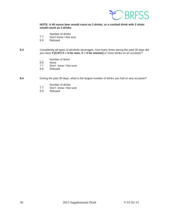

#### **NOTE: A 40 ounce beer would count as 3 drinks, or a cocktail drink with 2 shots would count as 2 drinks.**

- $\frac{1}{7}$  Number of drinks<br>77 Don't know / Not s
- 77 Don't know / Not sure<br>99 Refused
- **Refused**

#### **8.3** Considering all types of alcoholic beverages, how many times during the past 30 days did you have **X [CATI X = 5 for men, X = 4 for women]** or more drinks on an occasion?

- $\frac{1}{8}$  Number of times
- 88 None<br>77 Don't
- 77 Don't know / Not sure<br>99 Refused
- **Refused**
- **8.4** During the past 30 days, what is the largest number of drinks you had on any occasion?
	- $\frac{1}{7}$  Number of drinks<br>77 Don't know / Not
	- 77 Don't know / Not sure<br>99 Refused
	- **Refused**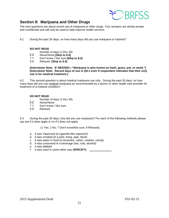

## <span id="page-50-0"></span>**Section 9: Marijuana and Other Drugs**

The next questions are about recent use of marijuana or other drugs. Your answers are strictly private and confidential and will only be used to help improve health services.

9.1 During the past 30 days, on how many days did you use marijuana or hashish?

#### **DO NOT READ**

- $\frac{1}{2}$  Number of days (1 thru 30)<br>88 Never/None **[Skip to 9.4]**
- 8 8 Never/None **[Skip to 9.4]**<br>7 7. Don't know / Not sure **[Sk**]
- 7 7. Don't know / Not sure **[Skip to 9,4]**
- 9 9. Refused **[Skip to 9.4]**

**[Interviewer Note: IF NEEDED—"Marijuana is also known as hash, grass, pot, or weed."] [Interviewer Note: Record days of use in Q9.1 even if respondent indicates that their only use is for medical treatment.]**

9.2 This second question is about medical marijuana use only. During the past 30 days, on how many days did you use medical marijuana as recommended by a doctor or other health care provider for treatment of a medical condition?

#### **DO NOT READ**

- Number of days (1 thru 30)
- 88 Never/None<br>77. Don't know /
- Don't know / Not sure
- 9 9. Refused

9.3 During the past 30 days, how did you use marijuana? For each of the following methods please say yes if it does apply or no if it does not apply:

(1 Yes; 2 No; 7 Don't know/Not sure; 9 Refused)

- a. It was Vaporized (e-cigarette-like vaporizer)
- b. It was smoked (in a joint, bong, pipe, blunt)
- c. It was eaten in food (in brownies, cakes, cookies, candy)
- d. It was consumed in a beverage (tea, cola, alcohol)
- e. It was dabbed
- f. It was used in some other way (**SPECIFY)** \_\_\_\_\_\_\_\_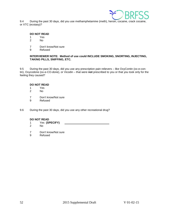

9.4 During the past 30 days, did you use methamphetamine (meth), heroin, cocaine, crack cocaine, or XTC (ecstasy)?

# **DO NOT READ**<br>1 Yes

- 1 Yes<br>2 No
- N<sub>o</sub>
- 7 Don't know/Not sure<br>9 Refused
- **Refused**

#### **INTERVIEWER NOTE: Method of use could INCLUDE SMOKING, SNORTING, INJECTING, TAKING PILLS, SNIFFING, ETC.**

9.5 During the past 30 days, did you use any prescription pain relievers – like OxyContin (ox-e-contin), Oxycodone (ox-e-CO-done), or Vicodin – that were **not** prescribed to you or that you took only for the feeling they caused?

#### **DO NOT READ**

- 1 Yes<br>2 No
- No.
- 7 Don't know/Not sure
- 9 Refused
- 9.6 During the past 30 days, did you use any other recreational drug?

#### **DO NOT READ**

- 1 Yes **(SPECIFY)**
- No.
- 7 Don't know/Not sure<br>9 Refused
- **Refused**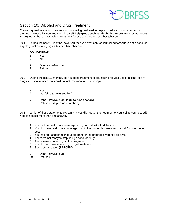

## <span id="page-52-0"></span>Section 10: Alcohol and Drug Treatment

The next question is about treatment or counseling designed to help you reduce or stop your alcohol or drug use. Please include treatment in a **self-help group** such as **Alcoholics Anonymous** or **Narcotics Anonymous,** but do **not** include treatment for use of cigarettes or other tobacco.

10.1 During the past 12 months, have you received treatment or counseling for your use of alcohol or any drug, not counting cigarettes or other tobacco?

#### **DO NOT READ**

- 1 Yes
- No.
- 7 Don't know/Not sure
- 9 Refused

10.2 During the past 12 months, did you need treatment or counseling for your use of alcohol or any drug excluding tobacco, but could not get treatment or counseling?

- 1 Yes<br>2 No
- 2 No **[skip to next section]**
- 7 Don't know/Not sure **[skip to next section]**
- 9 Refused **[skip to next section]**

10.3 Which of these statements explain why you did not get the treatment or counseling you needed? You can select more than one answer.

- 1 You had no health care coverage, and you couldn't afford the cost.
- 2 You did have health care coverage, but it didn't cover this treatment, or didn't cover the full cost.
- 3 You had no transportation to a program, or the programs were too far away.
- 4 You were not ready to stop using alcohol or drugs.
- 5 There were no openings in the programs.
- 6 You did not know where to go to get treatment.
- 7 Some other reason (SPECIFY)
- 77 Don't know/Not sure<br>99 Refused
- Refused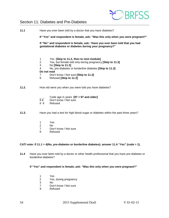

## <span id="page-53-0"></span>Section 11: Diabetes and Pre-Diabetes

| 11.1  | Have you ever been told by a doctor that you have diabetes?<br>If "Yes" and respondent is female, ask: "Was this only when you were pregnant?" |                                                                                                                                                                                                                                                       |  |  |  |
|-------|------------------------------------------------------------------------------------------------------------------------------------------------|-------------------------------------------------------------------------------------------------------------------------------------------------------------------------------------------------------------------------------------------------------|--|--|--|
|       | If "No" and respondent is female, ask: "Have you ever been told that you had<br>gestational diabetes or diabetes during your pregnancy?"       |                                                                                                                                                                                                                                                       |  |  |  |
|       | 1<br>$\overline{2}$<br>3<br>4<br>Do not read<br>$\overline{7}$<br>9                                                                            | Yes [Skip to 11.2, then to next module]<br>Yes, but female told only during pregnancy [Skip to 11.3]<br>No [Skip to 11.3]<br>No, pre-diabetes or borderline diabetes [Skip to 11.3]<br>Don't know / Not sure [Skip to 11.3]<br>Refused [Skip to 11.3] |  |  |  |
| 11.2. | How old were you when you were told you have diabetes?                                                                                         |                                                                                                                                                                                                                                                       |  |  |  |
|       | - -<br>98<br>99                                                                                                                                | Code age in years $[97 = 97$ and older]<br>Don't know / Not sure<br>Refused                                                                                                                                                                           |  |  |  |
| 11.3. | Have you had a test for high blood sugar or diabetes within the past three years?                                                              |                                                                                                                                                                                                                                                       |  |  |  |
|       | 1<br>$\overline{2}$<br>$\overline{7}$<br>9                                                                                                     | Yes<br><b>No</b><br>Don't know / Not sure<br>Refused                                                                                                                                                                                                  |  |  |  |

#### **CATI note: If 11.1 = 4(No, pre-diabetes or borderline diabetes); answer 11.4 "Yes" (code = 1).**

**11.4** Have you ever been told by a doctor or other health professional that you have pre-diabetes or borderline diabetes?

#### **If "Yes" and respondent is female, ask: "Was this only when you were pregnant?"**

- 1 Yes<br>2 Yes.
- 2 Yes, during pregnancy<br>3 No
- 3 No<br>7 Dor
- 7 Don't know / Not sure<br>9 Refused
- **Refused**